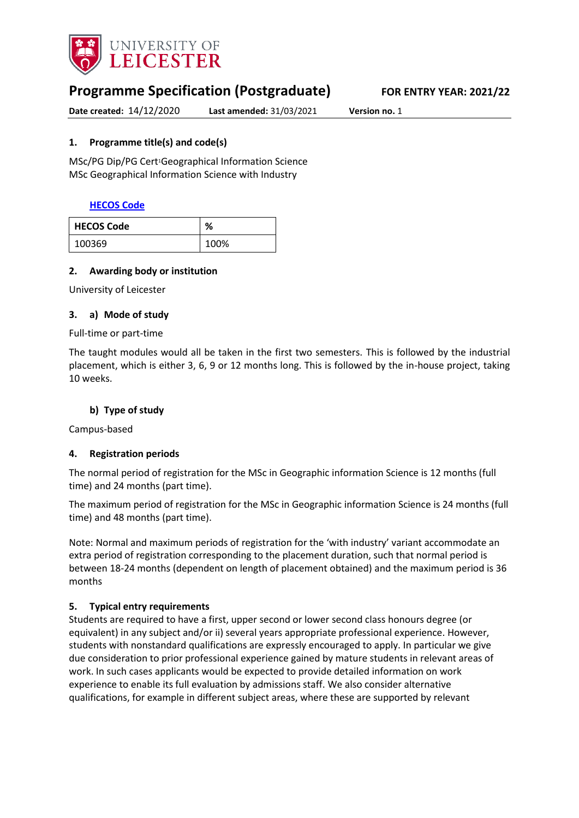

# **Programme Specification (Postgraduate) FOR ENTRY YEAR: 2021/22**

**Date created:** 14/12/2020 **Last amended:** 31/03/2021 **Version no.** 1

#### <span id="page-0-0"></span>**1. Programme title(s) and code(s)**

MSc/PG Dip/PG Cert<sup>1</sup>Geographical Information Science MSc Geographical Information Science with Industry

#### **[HECOS Code](https://www.hesa.ac.uk/innovation/hecos)**

| <b>HECOS Code</b> | %    |
|-------------------|------|
| 100369            | 100% |

#### **2. Awarding body or institution**

University of Leicester

#### **3. a) Mode of study**

#### Full-time or part-time

The taught modules would all be taken in the first two semesters. This is followed by the industrial placement, which is either 3, 6, 9 or 12 months long. This is followed by the in-house project, taking 10 weeks.

#### **b) Type of study**

Campus-based

#### **4. Registration periods**

The normal period of registration for the MSc in Geographic information Science is 12 months (full time) and 24 months (part time).

The maximum period of registration for the MSc in Geographic information Science is 24 months (full time) and 48 months (part time).

Note: Normal and maximum periods of registration for the 'with industry' variant accommodate an extra period of registration corresponding to the placement duration, such that normal period is between 18-24 months (dependent on length of placement obtained) and the maximum period is 36 months

#### **5. Typical entry requirements**

Students are required to have a first, upper second or lower second class honours degree (or equivalent) in any subject and/or ii) several years appropriate professional experience. However, students with nonstandard qualifications are expressly encouraged to apply. In particular we give due consideration to prior professional experience gained by mature students in relevant areas of work. In such cases applicants would be expected to provide detailed information on work experience to enable its full evaluation by admissions staff. We also consider alternative qualifications, for example in different subject areas, where these are supported by relevant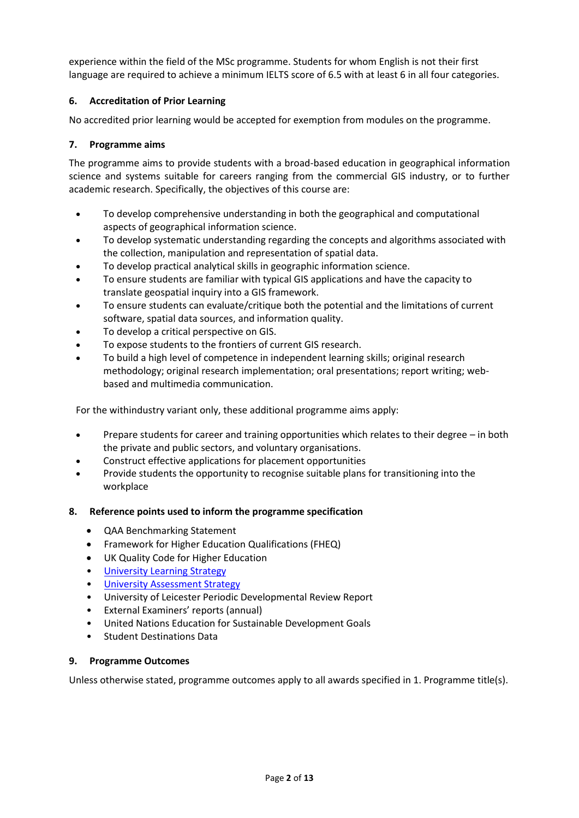experience within the field of the MSc programme. Students for whom English is not their first language are required to achieve a minimum IELTS score of 6.5 with at least 6 in all four categories.

#### **6. Accreditation of Prior Learning**

No accredited prior learning would be accepted for exemption from modules on the programme.

#### **7. Programme aims**

The programme aims to provide students with a broad-based education in geographical information science and systems suitable for careers ranging from the commercial GIS industry, or to further academic research. Specifically, the objectives of this course are:

- To develop comprehensive understanding in both the geographical and computational aspects of geographical information science.
- To develop systematic understanding regarding the concepts and algorithms associated with the collection, manipulation and representation of spatial data.
- To develop practical analytical skills in geographic information science.
- To ensure students are familiar with typical GIS applications and have the capacity to translate geospatial inquiry into a GIS framework.
- To ensure students can evaluate/critique both the potential and the limitations of current software, spatial data sources, and information quality.
- To develop a critical perspective on GIS.
- To expose students to the frontiers of current GIS research.
- To build a high level of competence in independent learning skills; original research methodology; original research implementation; oral presentations; report writing; webbased and multimedia communication.

For the withindustry variant only, these additional programme aims apply:

- Prepare students for career and training opportunities which relates to their degree in both the private and public sectors, and voluntary organisations.
- Construct effective applications for placement opportunities
- Provide students the opportunity to recognise suitable plans for transitioning into the workplace

#### **8. Reference points used to inform the programme specification**

- QAA Benchmarking Statement
- Framework for Higher Education Qualifications (FHEQ)
- UK Quality Code for Higher Education
- [University Learning](https://www2.le.ac.uk/offices/sas2/quality/learnteach) Strategy
- [University Assessment Strategy](https://www2.le.ac.uk/offices/sas2/quality/learnteach)
- University of Leicester Periodic Developmental Review Report
- External Examiners' reports (annual)
- United Nations Education for Sustainable Development Goals
- Student Destinations Data

#### **9. Programme Outcomes**

Unless otherwise stated, programme outcomes apply to all awards specified in [1.](#page-0-0) Programme title(s).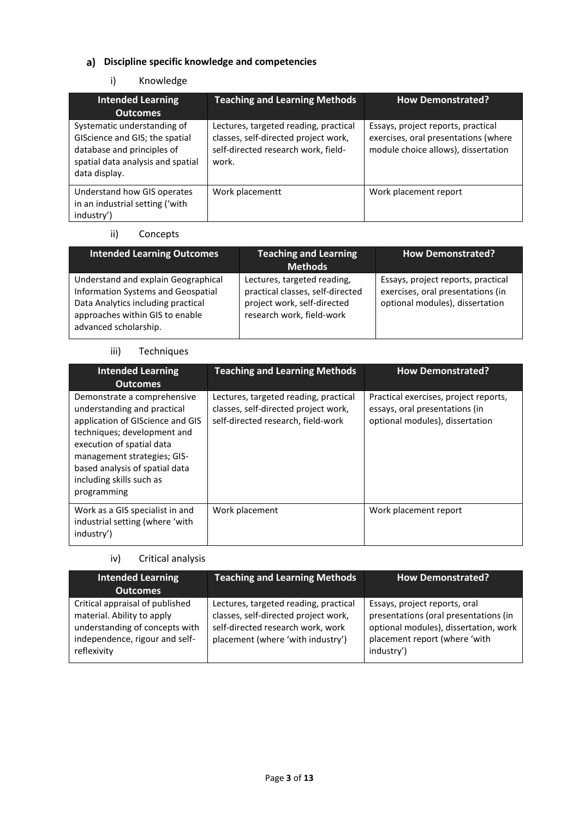## **Discipline specific knowledge and competencies**

## i) Knowledge

| <b>Intended Learning</b>                                                                                                                          | <b>Teaching and Learning Methods</b>                                                                                          | <b>How Demonstrated?</b>                                                                                          |
|---------------------------------------------------------------------------------------------------------------------------------------------------|-------------------------------------------------------------------------------------------------------------------------------|-------------------------------------------------------------------------------------------------------------------|
| <b>Outcomes</b>                                                                                                                                   |                                                                                                                               |                                                                                                                   |
| Systematic understanding of<br>GIScience and GIS; the spatial<br>database and principles of<br>spatial data analysis and spatial<br>data display. | Lectures, targeted reading, practical<br>classes, self-directed project work,<br>self-directed research work, field-<br>work. | Essays, project reports, practical<br>exercises, oral presentations (where<br>module choice allows), dissertation |
| Understand how GIS operates<br>in an industrial setting ('with<br>industry')                                                                      | Work placementt                                                                                                               | Work placement report                                                                                             |

## ii) Concepts

| <b>Intended Learning Outcomes</b>                                                                                                                                           | <b>Teaching and Learning</b><br><b>Methods</b>                                                                              | <b>How Demonstrated?</b>                                                                                   |
|-----------------------------------------------------------------------------------------------------------------------------------------------------------------------------|-----------------------------------------------------------------------------------------------------------------------------|------------------------------------------------------------------------------------------------------------|
| Understand and explain Geographical<br>Information Systems and Geospatial<br>Data Analytics including practical<br>approaches within GIS to enable<br>advanced scholarship. | Lectures, targeted reading,<br>practical classes, self-directed<br>project work, self-directed<br>research work, field-work | Essays, project reports, practical<br>exercises, oral presentations (in<br>optional modules), dissertation |

#### iii) Techniques

| <b>Intended Learning</b><br><b>Outcomes</b>                                                                                                                                                                                                                            | <b>Teaching and Learning Methods</b>                                                                                | <b>How Demonstrated?</b>                                                                                   |
|------------------------------------------------------------------------------------------------------------------------------------------------------------------------------------------------------------------------------------------------------------------------|---------------------------------------------------------------------------------------------------------------------|------------------------------------------------------------------------------------------------------------|
| Demonstrate a comprehensive<br>understanding and practical<br>application of GIScience and GIS<br>techniques; development and<br>execution of spatial data<br>management strategies; GIS-<br>based analysis of spatial data<br>including skills such as<br>programming | Lectures, targeted reading, practical<br>classes, self-directed project work,<br>self-directed research, field-work | Practical exercises, project reports,<br>essays, oral presentations (in<br>optional modules), dissertation |
| Work as a GIS specialist in and<br>industrial setting (where 'with<br>industry')                                                                                                                                                                                       | Work placement                                                                                                      | Work placement report                                                                                      |

## iv) Critical analysis

| <b>Intended Learning</b><br><b>Outcomes</b>                                                                                                      | <b>Teaching and Learning Methods</b>                                                                                                                    | <b>How Demonstrated?</b>                                                                                                                                       |
|--------------------------------------------------------------------------------------------------------------------------------------------------|---------------------------------------------------------------------------------------------------------------------------------------------------------|----------------------------------------------------------------------------------------------------------------------------------------------------------------|
| Critical appraisal of published<br>material. Ability to apply<br>understanding of concepts with<br>independence, rigour and self-<br>reflexivity | Lectures, targeted reading, practical<br>classes, self-directed project work,<br>self-directed research work, work<br>placement (where 'with industry') | Essays, project reports, oral<br>presentations (oral presentations (in<br>optional modules), dissertation, work<br>placement report (where 'with<br>industry') |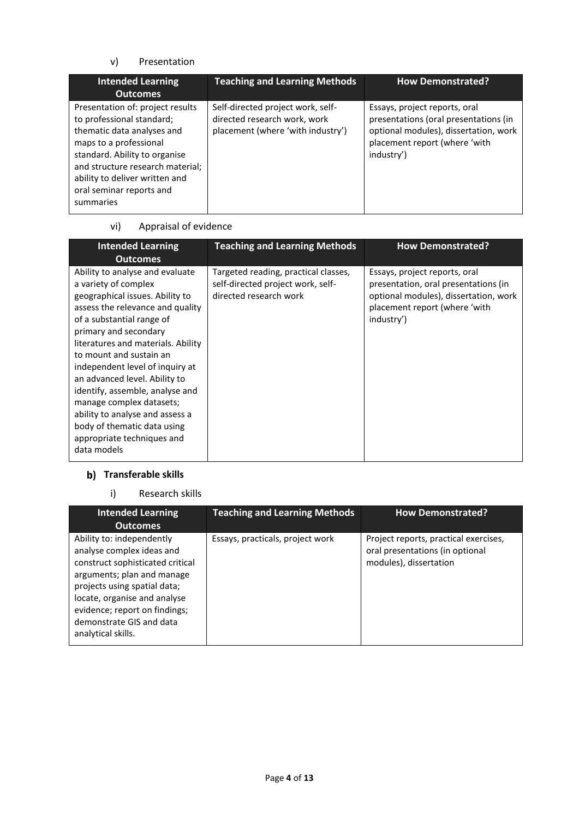#### v) Presentation

| <b>Intended Learning</b><br><b>Outcomes</b>                                                                                                                                                                                                                           | <b>Teaching and Learning Methods</b>                                                                   | <b>How Demonstrated?</b>                                                                                                                                       |
|-----------------------------------------------------------------------------------------------------------------------------------------------------------------------------------------------------------------------------------------------------------------------|--------------------------------------------------------------------------------------------------------|----------------------------------------------------------------------------------------------------------------------------------------------------------------|
| Presentation of: project results<br>to professional standard;<br>thematic data analyses and<br>maps to a professional<br>standard. Ability to organise<br>and structure research material;<br>ability to deliver written and<br>oral seminar reports and<br>summaries | Self-directed project work, self-<br>directed research work, work<br>placement (where 'with industry') | Essays, project reports, oral<br>presentations (oral presentations (in<br>optional modules), dissertation, work<br>placement report (where 'with<br>industry') |

#### vi) Appraisal of evidence

| <b>Intended Learning</b><br><b>Outcomes</b>                                                                                                                                                                                                                                                                                                                                                                                                                                                             | <b>Teaching and Learning Methods</b>                                                                | <b>How Demonstrated?</b>                                                                                                                                      |
|---------------------------------------------------------------------------------------------------------------------------------------------------------------------------------------------------------------------------------------------------------------------------------------------------------------------------------------------------------------------------------------------------------------------------------------------------------------------------------------------------------|-----------------------------------------------------------------------------------------------------|---------------------------------------------------------------------------------------------------------------------------------------------------------------|
| Ability to analyse and evaluate<br>a variety of complex<br>geographical issues. Ability to<br>assess the relevance and quality<br>of a substantial range of<br>primary and secondary<br>literatures and materials. Ability<br>to mount and sustain an<br>independent level of inquiry at<br>an advanced level. Ability to<br>identify, assemble, analyse and<br>manage complex datasets;<br>ability to analyse and assess a<br>body of thematic data using<br>appropriate techniques and<br>data models | Targeted reading, practical classes,<br>self-directed project work, self-<br>directed research work | Essays, project reports, oral<br>presentation, oral presentations (in<br>optional modules), dissertation, work<br>placement report (where 'with<br>industry') |

## **Transferable skills**

i) Research skills

| <b>Intended Learning</b><br><b>Outcomes</b>                                                                                                                                                                                                                                 | <b>Teaching and Learning Methods</b> | <b>How Demonstrated?</b>                                                                           |
|-----------------------------------------------------------------------------------------------------------------------------------------------------------------------------------------------------------------------------------------------------------------------------|--------------------------------------|----------------------------------------------------------------------------------------------------|
| Ability to: independently<br>analyse complex ideas and<br>construct sophisticated critical<br>arguments; plan and manage<br>projects using spatial data;<br>locate, organise and analyse<br>evidence; report on findings;<br>demonstrate GIS and data<br>analytical skills. | Essays, practicals, project work     | Project reports, practical exercises,<br>oral presentations (in optional<br>modules), dissertation |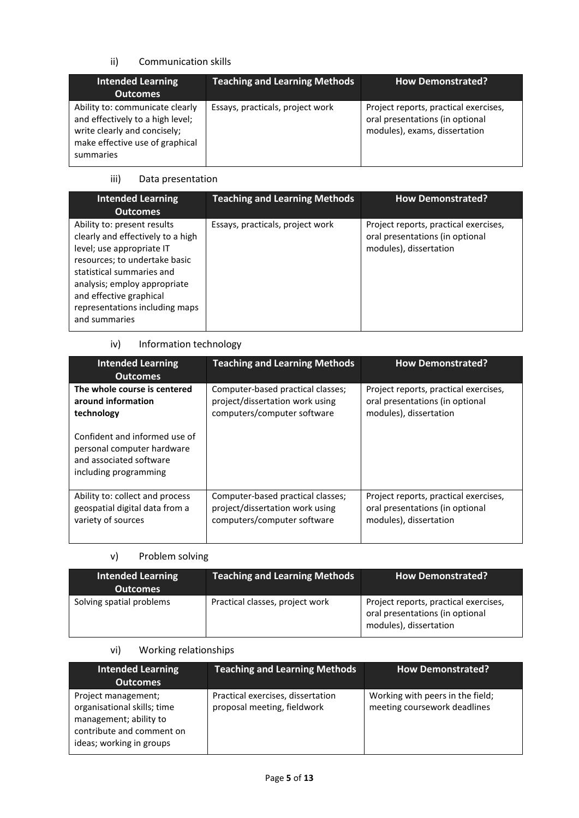#### ii) Communication skills

| <b>Intended Learning</b><br><b>Outcomes</b>                                                                                                         | <b>Teaching and Learning Methods</b> | <b>How Demonstrated?</b>                                                                                  |
|-----------------------------------------------------------------------------------------------------------------------------------------------------|--------------------------------------|-----------------------------------------------------------------------------------------------------------|
| Ability to: communicate clearly<br>and effectively to a high level;<br>write clearly and concisely;<br>make effective use of graphical<br>summaries | Essays, practicals, project work     | Project reports, practical exercises,<br>oral presentations (in optional<br>modules), exams, dissertation |

## iii) Data presentation

| <b>Intended Learning</b><br><b>Outcomes</b>                                                                                                                                                                                                                               | <b>Teaching and Learning Methods</b> | <b>How Demonstrated?</b>                                                                           |
|---------------------------------------------------------------------------------------------------------------------------------------------------------------------------------------------------------------------------------------------------------------------------|--------------------------------------|----------------------------------------------------------------------------------------------------|
| Ability to: present results<br>clearly and effectively to a high<br>level; use appropriate IT<br>resources; to undertake basic<br>statistical summaries and<br>analysis; employ appropriate<br>and effective graphical<br>representations including maps<br>and summaries | Essays, practicals, project work     | Project reports, practical exercises,<br>oral presentations (in optional<br>modules), dissertation |

#### iv) Information technology

| <b>Intended Learning</b><br><b>Outcomes</b>                                                                     | <b>Teaching and Learning Methods</b> | <b>How Demonstrated?</b>              |
|-----------------------------------------------------------------------------------------------------------------|--------------------------------------|---------------------------------------|
| The whole course is centered                                                                                    | Computer-based practical classes;    | Project reports, practical exercises, |
| around information                                                                                              | project/dissertation work using      | oral presentations (in optional       |
| technology                                                                                                      | computers/computer software          | modules), dissertation                |
| Confident and informed use of<br>personal computer hardware<br>and associated software<br>including programming |                                      |                                       |
| Ability to: collect and process                                                                                 | Computer-based practical classes;    | Project reports, practical exercises, |
| geospatial digital data from a                                                                                  | project/dissertation work using      | oral presentations (in optional       |
| variety of sources                                                                                              | computers/computer software          | modules), dissertation                |

#### v) Problem solving

| <b>Intended Learning</b><br><b>Outcomes</b> | <b>Teaching and Learning Methods</b> | <b>How Demonstrated?</b>                                                                           |
|---------------------------------------------|--------------------------------------|----------------------------------------------------------------------------------------------------|
| Solving spatial problems                    | Practical classes, project work      | Project reports, practical exercises,<br>oral presentations (in optional<br>modules), dissertation |

## vi) Working relationships

| <b>Intended Learning</b><br><b>Outcomes</b>                                                                                           | <b>Teaching and Learning Methods</b>                             | <b>How Demonstrated?</b>                                         |
|---------------------------------------------------------------------------------------------------------------------------------------|------------------------------------------------------------------|------------------------------------------------------------------|
| Project management;<br>organisational skills; time<br>management; ability to<br>contribute and comment on<br>ideas; working in groups | Practical exercises, dissertation<br>proposal meeting, fieldwork | Working with peers in the field;<br>meeting coursework deadlines |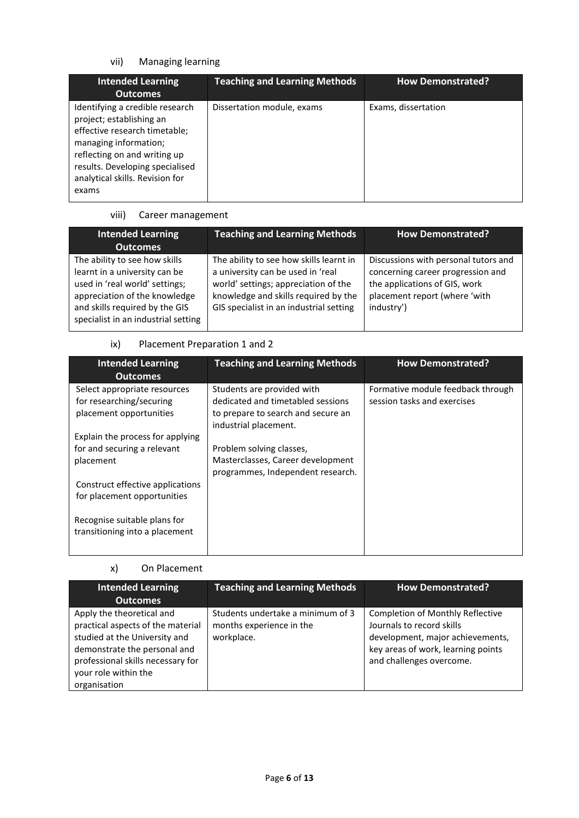## vii) Managing learning

| <b>Intended Learning</b><br><b>Outcomes</b>                                                                                                                                                                                          | <b>Teaching and Learning Methods</b> | <b>How Demonstrated?</b> |
|--------------------------------------------------------------------------------------------------------------------------------------------------------------------------------------------------------------------------------------|--------------------------------------|--------------------------|
| Identifying a credible research<br>project; establishing an<br>effective research timetable;<br>managing information;<br>reflecting on and writing up<br>results. Developing specialised<br>analytical skills. Revision for<br>exams | Dissertation module, exams           | Exams, dissertation      |

## viii) Career management

| <b>Intended Learning</b><br><b>Outcomes</b>                                                                                                                                                                | <b>Teaching and Learning Methods</b>                                                                                                                                                                    | <b>How Demonstrated?</b>                                                                                                                                  |
|------------------------------------------------------------------------------------------------------------------------------------------------------------------------------------------------------------|---------------------------------------------------------------------------------------------------------------------------------------------------------------------------------------------------------|-----------------------------------------------------------------------------------------------------------------------------------------------------------|
| The ability to see how skills<br>learnt in a university can be<br>used in 'real world' settings;<br>appreciation of the knowledge<br>and skills required by the GIS<br>specialist in an industrial setting | The ability to see how skills learnt in<br>a university can be used in 'real<br>world' settings; appreciation of the<br>knowledge and skills required by the<br>GIS specialist in an industrial setting | Discussions with personal tutors and<br>concerning career progression and<br>the applications of GIS, work<br>placement report (where 'with<br>industry') |

#### ix) Placement Preparation 1 and 2

| <b>Intended Learning</b><br><b>Outcomes</b>                    | <b>Teaching and Learning Methods</b>                                                               | <b>How Demonstrated?</b>                                         |
|----------------------------------------------------------------|----------------------------------------------------------------------------------------------------|------------------------------------------------------------------|
| Select appropriate resources<br>for researching/securing       | Students are provided with<br>dedicated and timetabled sessions                                    | Formative module feedback through<br>session tasks and exercises |
| placement opportunities                                        | to prepare to search and secure an<br>industrial placement.                                        |                                                                  |
| Explain the process for applying                               |                                                                                                    |                                                                  |
| for and securing a relevant<br>placement                       | Problem solving classes,<br>Masterclasses, Career development<br>programmes, Independent research. |                                                                  |
| Construct effective applications                               |                                                                                                    |                                                                  |
| for placement opportunities                                    |                                                                                                    |                                                                  |
| Recognise suitable plans for<br>transitioning into a placement |                                                                                                    |                                                                  |

#### x) On Placement

| <b>Intended Learning</b><br><b>Outcomes</b>                                                                                                                                                                  | <b>Teaching and Learning Methods</b>                                        | <b>How Demonstrated?</b>                                                                                                                                                   |
|--------------------------------------------------------------------------------------------------------------------------------------------------------------------------------------------------------------|-----------------------------------------------------------------------------|----------------------------------------------------------------------------------------------------------------------------------------------------------------------------|
| Apply the theoretical and<br>practical aspects of the material<br>studied at the University and<br>demonstrate the personal and<br>professional skills necessary for<br>your role within the<br>organisation | Students undertake a minimum of 3<br>months experience in the<br>workplace. | <b>Completion of Monthly Reflective</b><br>Journals to record skills<br>development, major achievements,<br>key areas of work, learning points<br>and challenges overcome. |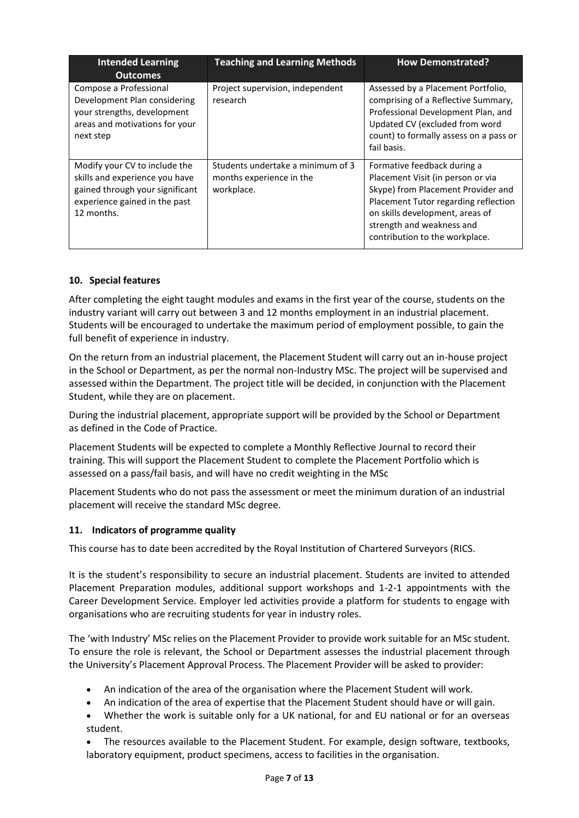| <b>Intended Learning</b><br><b>Outcomes</b>                                                                                                       | <b>Teaching and Learning Methods</b>                                        | <b>How Demonstrated?</b>                                                                                                                                                                                                                         |
|---------------------------------------------------------------------------------------------------------------------------------------------------|-----------------------------------------------------------------------------|--------------------------------------------------------------------------------------------------------------------------------------------------------------------------------------------------------------------------------------------------|
| Compose a Professional<br>Development Plan considering<br>your strengths, development<br>areas and motivations for your<br>next step              | Project supervision, independent<br>research                                | Assessed by a Placement Portfolio,<br>comprising of a Reflective Summary,<br>Professional Development Plan, and<br>Updated CV (excluded from word<br>count) to formally assess on a pass or<br>fail basis.                                       |
| Modify your CV to include the<br>skills and experience you have<br>gained through your significant<br>experience gained in the past<br>12 months. | Students undertake a minimum of 3<br>months experience in the<br>workplace. | Formative feedback during a<br>Placement Visit (in person or via<br>Skype) from Placement Provider and<br>Placement Tutor regarding reflection<br>on skills development, areas of<br>strength and weakness and<br>contribution to the workplace. |

#### **10. Special features**

After completing the eight taught modules and exams in the first year of the course, students on the industry variant will carry out between 3 and 12 months employment in an industrial placement. Students will be encouraged to undertake the maximum period of employment possible, to gain the full benefit of experience in industry.

On the return from an industrial placement, the Placement Student will carry out an in-house project in the School or Department, as per the normal non-Industry MSc. The project will be supervised and assessed within the Department. The project title will be decided, in conjunction with the Placement Student, while they are on placement.

During the industrial placement, appropriate support will be provided by the School or Department as defined in the Code of Practice.

Placement Students will be expected to complete a Monthly Reflective Journal to record their training. This will support the Placement Student to complete the Placement Portfolio which is assessed on a pass/fail basis, and will have no credit weighting in the MSc

Placement Students who do not pass the assessment or meet the minimum duration of an industrial placement will receive the standard MSc degree.

#### **11. Indicators of programme quality**

This course has to date been accredited by the Royal Institution of Chartered Surveyors (RICS.

It is the student's responsibility to secure an industrial placement. Students are invited to attended Placement Preparation modules, additional support workshops and 1-2-1 appointments with the Career Development Service. Employer led activities provide a platform for students to engage with organisations who are recruiting students for year in industry roles.

The 'with Industry' MSc relies on the Placement Provider to provide work suitable for an MSc student. To ensure the role is relevant, the School or Department assesses the industrial placement through the University's Placement Approval Process. The Placement Provider will be asked to provider:

- An indication of the area of the organisation where the Placement Student will work.
- An indication of the area of expertise that the Placement Student should have or will gain.
- Whether the work is suitable only for a UK national, for and EU national or for an overseas student.

 The resources available to the Placement Student. For example, design software, textbooks, laboratory equipment, product specimens, access to facilities in the organisation.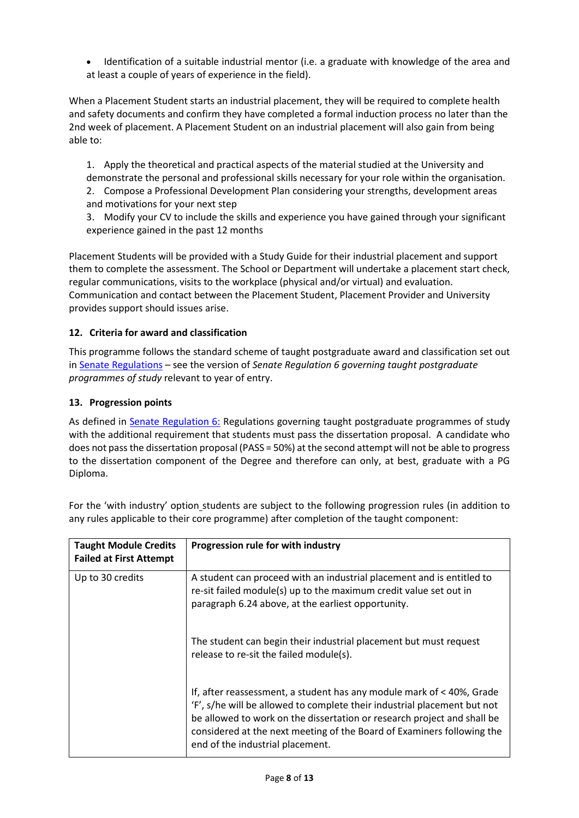Identification of a suitable industrial mentor (i.e. a graduate with knowledge of the area and at least a couple of years of experience in the field).

When a Placement Student starts an industrial placement, they will be required to complete health and safety documents and confirm they have completed a formal induction process no later than the 2nd week of placement. A Placement Student on an industrial placement will also gain from being able to:

1. Apply the theoretical and practical aspects of the material studied at the University and demonstrate the personal and professional skills necessary for your role within the organisation. 2. Compose a Professional Development Plan considering your strengths, development areas and motivations for your next step

3. Modify your CV to include the skills and experience you have gained through your significant experience gained in the past 12 months

Placement Students will be provided with a Study Guide for their industrial placement and support them to complete the assessment. The School or Department will undertake a placement start check, regular communications, visits to the workplace (physical and/or virtual) and evaluation. Communication and contact between the Placement Student, Placement Provider and University provides support should issues arise.

#### **12. Criteria for award and classification**

This programme follows the standard scheme of taught postgraduate award and classification set out i[n Senate Regulations](http://www.le.ac.uk/senate-regulations) – see the version of *Senate Regulation 6 governing taught postgraduate programmes of study* relevant to year of entry.

#### **13. Progression points**

As defined in [Senate Regulation 6:](http://www.le.ac.uk/senate-regulation6) Regulations governing taught postgraduate programmes of study with the additional requirement that students must pass the dissertation proposal. A candidate who does not pass the dissertation proposal (PASS = 50%) at the second attempt will not be able to progress to the dissertation component of the Degree and therefore can only, at best, graduate with a PG Diploma.

| <b>Taught Module Credits</b><br><b>Failed at First Attempt</b> | Progression rule for with industry                                                                                                                                                                                                                                                                                                           |
|----------------------------------------------------------------|----------------------------------------------------------------------------------------------------------------------------------------------------------------------------------------------------------------------------------------------------------------------------------------------------------------------------------------------|
| Up to 30 credits                                               | A student can proceed with an industrial placement and is entitled to<br>re-sit failed module(s) up to the maximum credit value set out in<br>paragraph 6.24 above, at the earliest opportunity.                                                                                                                                             |
|                                                                | The student can begin their industrial placement but must request<br>release to re-sit the failed module(s).                                                                                                                                                                                                                                 |
|                                                                | If, after reassessment, a student has any module mark of $<$ 40%, Grade<br>'F', s/he will be allowed to complete their industrial placement but not<br>be allowed to work on the dissertation or research project and shall be<br>considered at the next meeting of the Board of Examiners following the<br>end of the industrial placement. |

For the 'with industry' option\_students are subject to the following progression rules (in addition to any rules applicable to their core programme) after completion of the taught component: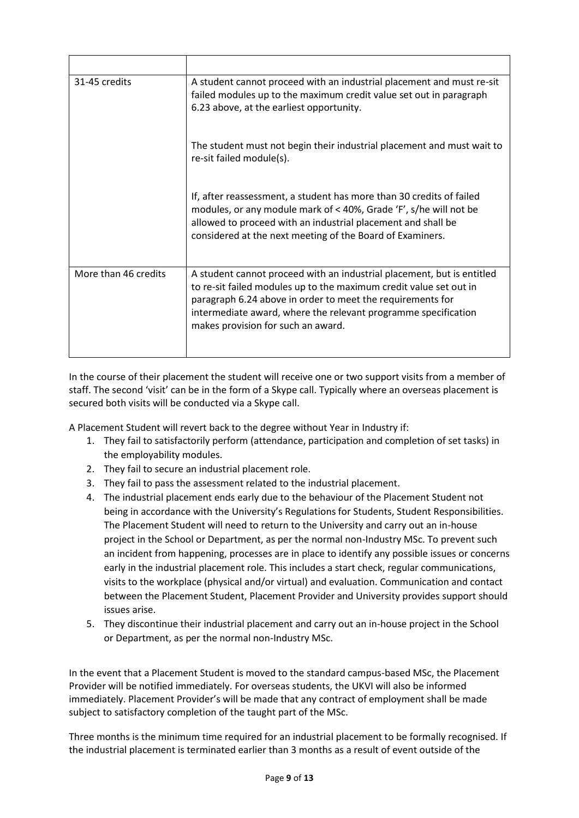| 31-45 credits        | A student cannot proceed with an industrial placement and must re-sit<br>failed modules up to the maximum credit value set out in paragraph<br>6.23 above, at the earliest opportunity.                                                                                                                            |
|----------------------|--------------------------------------------------------------------------------------------------------------------------------------------------------------------------------------------------------------------------------------------------------------------------------------------------------------------|
|                      | The student must not begin their industrial placement and must wait to<br>re-sit failed module(s).                                                                                                                                                                                                                 |
|                      | If, after reassessment, a student has more than 30 credits of failed<br>modules, or any module mark of < 40%, Grade 'F', s/he will not be<br>allowed to proceed with an industrial placement and shall be<br>considered at the next meeting of the Board of Examiners.                                             |
| More than 46 credits | A student cannot proceed with an industrial placement, but is entitled<br>to re-sit failed modules up to the maximum credit value set out in<br>paragraph 6.24 above in order to meet the requirements for<br>intermediate award, where the relevant programme specification<br>makes provision for such an award. |

In the course of their placement the student will receive one or two support visits from a member of staff. The second 'visit' can be in the form of a Skype call. Typically where an overseas placement is secured both visits will be conducted via a Skype call.

A Placement Student will revert back to the degree without Year in Industry if:

- 1. They fail to satisfactorily perform (attendance, participation and completion of set tasks) in the employability modules.
- 2. They fail to secure an industrial placement role.
- 3. They fail to pass the assessment related to the industrial placement.
- 4. The industrial placement ends early due to the behaviour of the Placement Student not being in accordance with the University's Regulations for Students, Student Responsibilities. The Placement Student will need to return to the University and carry out an in-house project in the School or Department, as per the normal non-Industry MSc. To prevent such an incident from happening, processes are in place to identify any possible issues or concerns early in the industrial placement role. This includes a start check, regular communications, visits to the workplace (physical and/or virtual) and evaluation. Communication and contact between the Placement Student, Placement Provider and University provides support should issues arise.
- 5. They discontinue their industrial placement and carry out an in-house project in the School or Department, as per the normal non-Industry MSc.

In the event that a Placement Student is moved to the standard campus-based MSc, the Placement Provider will be notified immediately. For overseas students, the UKVI will also be informed immediately. Placement Provider's will be made that any contract of employment shall be made subject to satisfactory completion of the taught part of the MSc.

Three months is the minimum time required for an industrial placement to be formally recognised. If the industrial placement is terminated earlier than 3 months as a result of event outside of the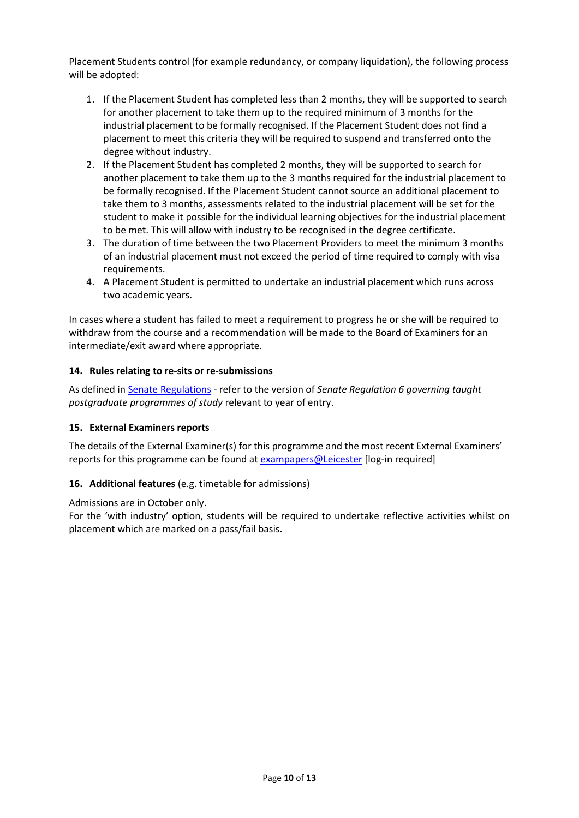Placement Students control (for example redundancy, or company liquidation), the following process will be adopted:

- 1. If the Placement Student has completed less than 2 months, they will be supported to search for another placement to take them up to the required minimum of 3 months for the industrial placement to be formally recognised. If the Placement Student does not find a placement to meet this criteria they will be required to suspend and transferred onto the degree without industry.
- 2. If the Placement Student has completed 2 months, they will be supported to search for another placement to take them up to the 3 months required for the industrial placement to be formally recognised. If the Placement Student cannot source an additional placement to take them to 3 months, assessments related to the industrial placement will be set for the student to make it possible for the individual learning objectives for the industrial placement to be met. This will allow with industry to be recognised in the degree certificate.
- 3. The duration of time between the two Placement Providers to meet the minimum 3 months of an industrial placement must not exceed the period of time required to comply with visa requirements.
- 4. A Placement Student is permitted to undertake an industrial placement which runs across two academic years.

In cases where a student has failed to meet a requirement to progress he or she will be required to withdraw from the course and a recommendation will be made to the Board of Examiners for an intermediate/exit award where appropriate.

#### **14. Rules relating to re-sits or re-submissions**

As defined i[n Senate Regulations](http://www.le.ac.uk/senate-regulation6) - refer to the version of *Senate Regulation 6 governing taught postgraduate programmes of study* relevant to year of entry.

#### **15. External Examiners reports**

The details of the External Examiner(s) for this programme and the most recent External Examiners' reports for this programme can be found at **exampapers@Leicester** [log-in required]

#### **16. Additional features** (e.g. timetable for admissions)

Admissions are in October only.

For the 'with industry' option, students will be required to undertake reflective activities whilst on placement which are marked on a pass/fail basis.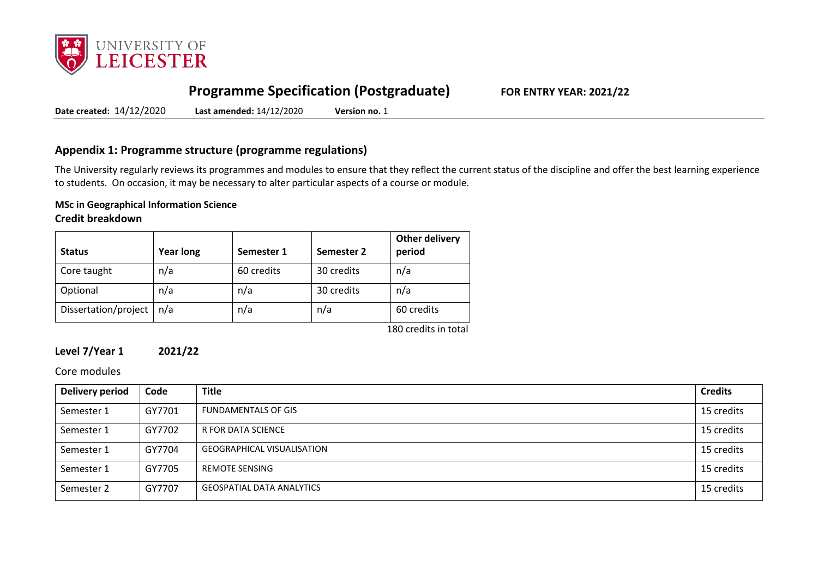

# **Programme Specification (Postgraduate) FOR ENTRY YEAR: 2021/22**

**Date created:** 14/12/2020 **Last amended:** 14/12/2020 **Version no.** 1

### **Appendix 1: Programme structure (programme regulations)**

The University regularly reviews its programmes and modules to ensure that they reflect the current status of the discipline and offer the best learning experience to students. On occasion, it may be necessary to alter particular aspects of a course or module.

## **MSc in Geographical Information Science**

#### **Credit breakdown**

|     | 60 credits<br>30 credits | n/a        |
|-----|--------------------------|------------|
| n/a | 30 credits               | n/a        |
| n/a | n/a                      | 60 credits |
|     |                          |            |

180 credits in total

#### **Level 7/Year 1 2021/22**

#### Core modules

| <b>Delivery period</b> | Code   | <b>Title</b>                      | <b>Credits</b> |
|------------------------|--------|-----------------------------------|----------------|
| Semester 1             | GY7701 | <b>FUNDAMENTALS OF GIS</b>        | 15 credits     |
| Semester 1             | GY7702 | R FOR DATA SCIENCE                | 15 credits     |
| Semester 1             | GY7704 | <b>GEOGRAPHICAL VISUALISATION</b> | 15 credits     |
| Semester 1             | GY7705 | <b>REMOTE SENSING</b>             | 15 credits     |
| Semester 2             | GY7707 | <b>GEOSPATIAL DATA ANALYTICS</b>  | 15 credits     |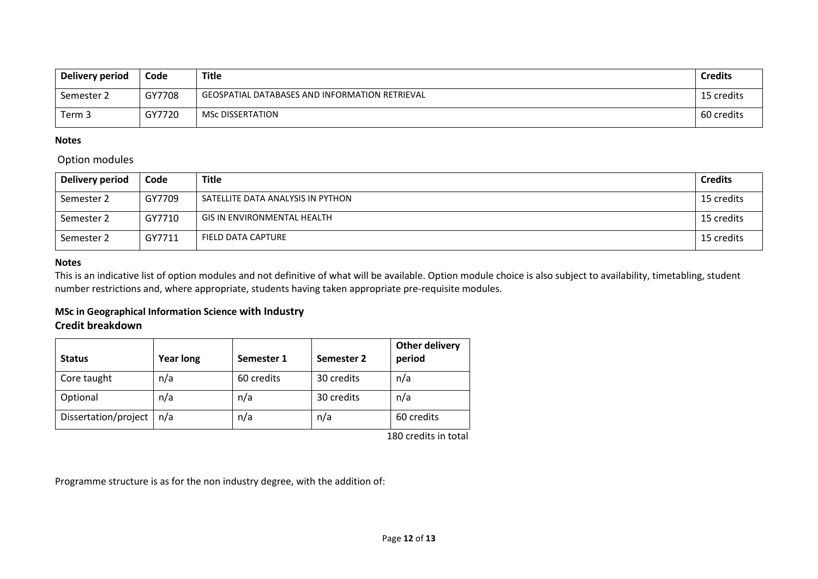| Delivery period | Code   | Title                                          | <b>Credits</b> |
|-----------------|--------|------------------------------------------------|----------------|
| Semester 2      | GY7708 | GEOSPATIAL DATABASES AND INFORMATION RETRIEVAL | 15 credits     |
| Term 3          | GY7720 | MSc DISSERTATION                               | 60 credits     |

#### **Notes**

#### Option modules

| Delivery period | Code   | <b>Title</b>                      | <b>Credits</b> |
|-----------------|--------|-----------------------------------|----------------|
| Semester 2      | GY7709 | SATELLITE DATA ANALYSIS IN PYTHON | 15 credits     |
| Semester 2      | GY7710 | GIS IN ENVIRONMENTAL HEALTH       | 15 credits     |
| Semester 2      | GY7711 | FIELD DATA CAPTURE                | 15 credits     |

#### **Notes**

This is an indicative list of option modules and not definitive of what will be available. Option module choice is also subject to availability, timetabling, student number restrictions and, where appropriate, students having taken appropriate pre-requisite modules.

#### **MSc in Geographical Information Science with Industry**

## **Credit breakdown**

| <b>Status</b>        | <b>Year long</b> | Semester 1 | Semester 2 | Other delivery<br>period |
|----------------------|------------------|------------|------------|--------------------------|
| Core taught          | n/a              | 60 credits | 30 credits | n/a                      |
| Optional             | n/a              | n/a        | 30 credits | n/a                      |
| Dissertation/project | n/a              | n/a        | n/a        | 60 credits               |

180 credits in total

Programme structure is as for the non industry degree, with the addition of: